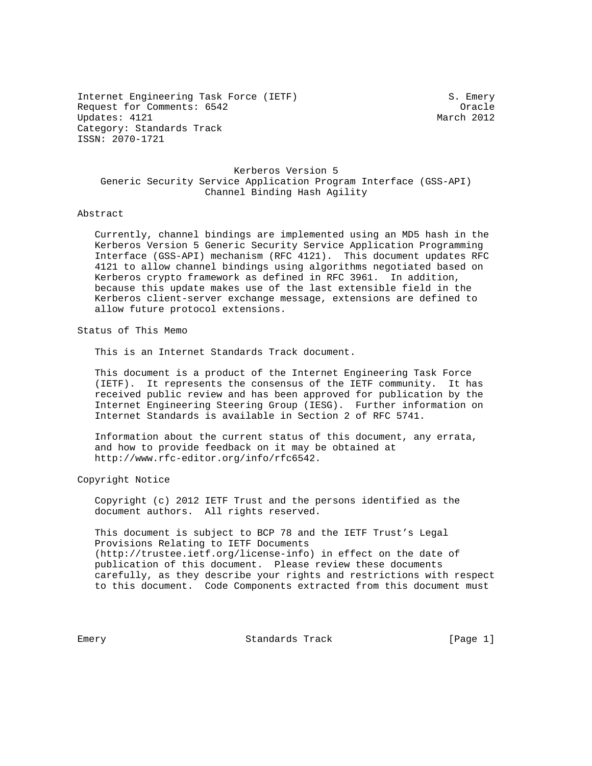Internet Engineering Task Force (IETF) S. Emery Request for Comments: 6542 Oracle Updates: 4121 Category: Standards Track ISSN: 2070-1721

# Kerberos Version 5 Generic Security Service Application Program Interface (GSS-API) Channel Binding Hash Agility

### Abstract

 Currently, channel bindings are implemented using an MD5 hash in the Kerberos Version 5 Generic Security Service Application Programming Interface (GSS-API) mechanism (RFC 4121). This document updates RFC 4121 to allow channel bindings using algorithms negotiated based on Kerberos crypto framework as defined in RFC 3961. In addition, because this update makes use of the last extensible field in the Kerberos client-server exchange message, extensions are defined to allow future protocol extensions.

Status of This Memo

This is an Internet Standards Track document.

 This document is a product of the Internet Engineering Task Force (IETF). It represents the consensus of the IETF community. It has received public review and has been approved for publication by the Internet Engineering Steering Group (IESG). Further information on Internet Standards is available in Section 2 of RFC 5741.

 Information about the current status of this document, any errata, and how to provide feedback on it may be obtained at http://www.rfc-editor.org/info/rfc6542.

Copyright Notice

 Copyright (c) 2012 IETF Trust and the persons identified as the document authors. All rights reserved.

 This document is subject to BCP 78 and the IETF Trust's Legal Provisions Relating to IETF Documents (http://trustee.ietf.org/license-info) in effect on the date of publication of this document. Please review these documents carefully, as they describe your rights and restrictions with respect to this document. Code Components extracted from this document must

Emery **Example 2018** Standards Track Track [Page 1]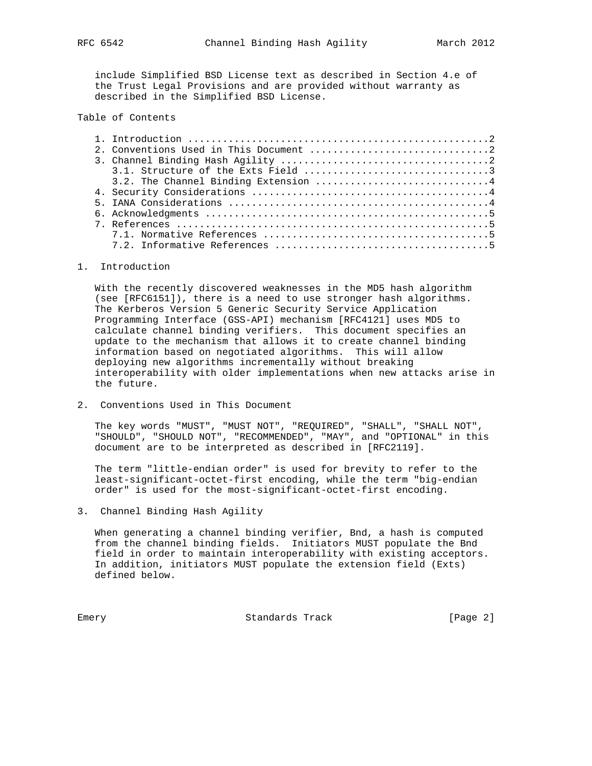include Simplified BSD License text as described in Section 4.e of the Trust Legal Provisions and are provided without warranty as described in the Simplified BSD License.

# Table of Contents

## 1. Introduction

 With the recently discovered weaknesses in the MD5 hash algorithm (see [RFC6151]), there is a need to use stronger hash algorithms. The Kerberos Version 5 Generic Security Service Application Programming Interface (GSS-API) mechanism [RFC4121] uses MD5 to calculate channel binding verifiers. This document specifies an update to the mechanism that allows it to create channel binding information based on negotiated algorithms. This will allow deploying new algorithms incrementally without breaking interoperability with older implementations when new attacks arise in the future.

2. Conventions Used in This Document

 The key words "MUST", "MUST NOT", "REQUIRED", "SHALL", "SHALL NOT", "SHOULD", "SHOULD NOT", "RECOMMENDED", "MAY", and "OPTIONAL" in this document are to be interpreted as described in [RFC2119].

 The term "little-endian order" is used for brevity to refer to the least-significant-octet-first encoding, while the term "big-endian order" is used for the most-significant-octet-first encoding.

3. Channel Binding Hash Agility

 When generating a channel binding verifier, Bnd, a hash is computed from the channel binding fields. Initiators MUST populate the Bnd field in order to maintain interoperability with existing acceptors. In addition, initiators MUST populate the extension field (Exts) defined below.

Emery **Example 2** Standards Track **Emery** [Page 2]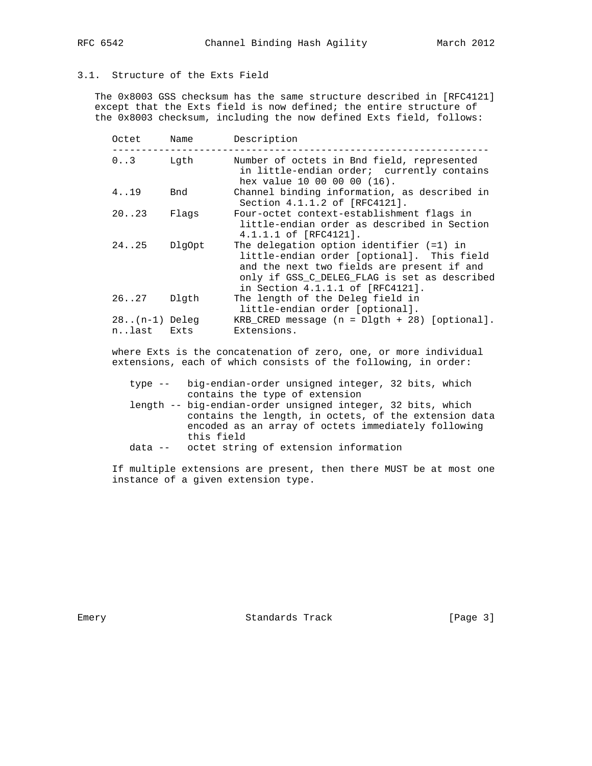# 3.1. Structure of the Exts Field

 The 0x8003 GSS checksum has the same structure described in [RFC4121] except that the Exts field is now defined; the entire structure of the 0x8003 checksum, including the now defined Exts field, follows:

| Octet                    | Name   | Description                                                                                                                                                                                                                |
|--------------------------|--------|----------------------------------------------------------------------------------------------------------------------------------------------------------------------------------------------------------------------------|
| $0.3$ Lqth               |        | Number of octets in Bnd field, represented<br>in little-endian order; currently contains<br>hex value 10 00 00 00 (16).                                                                                                    |
| 419                      | Bnd    | Channel binding information, as described in<br>Section 4.1.1.2 of [RFC4121].                                                                                                                                              |
| 20.023                   | Flaqs  | Four-octet context-establishment flags in<br>little-endian order as described in Section<br>4.1.1.1 of [RFC4121].                                                                                                          |
| 2425                     | DlqOpt | The delegation option identifier $(=1)$ in<br>little-endian order [optional]. This field<br>and the next two fields are present if and<br>only if GSS C DELEG FLAG is set as described<br>in Section 4.1.1.1 of [RFC4121]. |
| 2627                     | Dlqth  | The length of the Deleg field in<br>little-endian order [optional].                                                                                                                                                        |
| $28(n-1)$ Deleg<br>nlast | Exts   | $KRB_CRED$ message (n = $D1$ gth + 28) [optional].<br>Extensions.                                                                                                                                                          |

 where Exts is the concatenation of zero, one, or more individual extensions, each of which consists of the following, in order:

 type -- big-endian-order unsigned integer, 32 bits, which contains the type of extension

- length -- big-endian-order unsigned integer, 32 bits, which contains the length, in octets, of the extension data encoded as an array of octets immediately following this field
- data -- octet string of extension information

 If multiple extensions are present, then there MUST be at most one instance of a given extension type.

Emery **Example 2018** Standards Track Track [Page 3]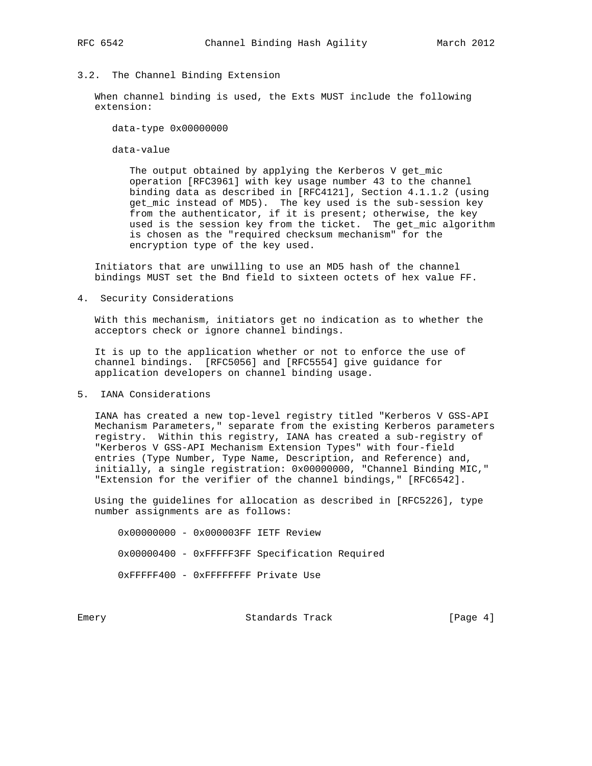# 3.2. The Channel Binding Extension

 When channel binding is used, the Exts MUST include the following extension:

data-type 0x00000000

data-value

 The output obtained by applying the Kerberos V get\_mic operation [RFC3961] with key usage number 43 to the channel binding data as described in [RFC4121], Section 4.1.1.2 (using get\_mic instead of MD5). The key used is the sub-session key from the authenticator, if it is present; otherwise, the key used is the session key from the ticket. The get\_mic algorithm is chosen as the "required checksum mechanism" for the encryption type of the key used.

 Initiators that are unwilling to use an MD5 hash of the channel bindings MUST set the Bnd field to sixteen octets of hex value FF.

4. Security Considerations

 With this mechanism, initiators get no indication as to whether the acceptors check or ignore channel bindings.

 It is up to the application whether or not to enforce the use of channel bindings. [RFC5056] and [RFC5554] give guidance for application developers on channel binding usage.

5. IANA Considerations

 IANA has created a new top-level registry titled "Kerberos V GSS-API Mechanism Parameters," separate from the existing Kerberos parameters registry. Within this registry, IANA has created a sub-registry of "Kerberos V GSS-API Mechanism Extension Types" with four-field entries (Type Number, Type Name, Description, and Reference) and, initially, a single registration: 0x00000000, "Channel Binding MIC," "Extension for the verifier of the channel bindings," [RFC6542].

 Using the guidelines for allocation as described in [RFC5226], type number assignments are as follows:

 0x00000000 - 0x000003FF IETF Review 0x00000400 - 0xFFFFF3FF Specification Required 0xFFFFF400 - 0xFFFFFFFF Private Use

Emery **Example 2018** Standards Track Track [Page 4]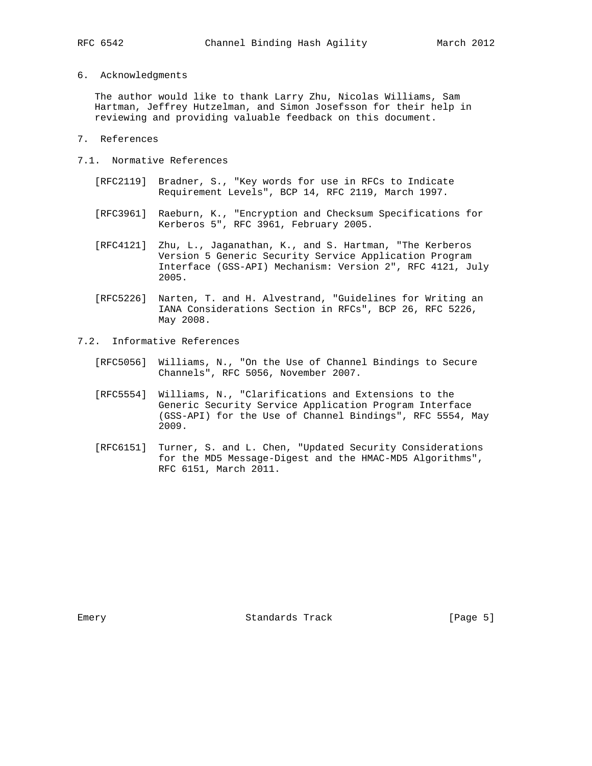### 6. Acknowledgments

 The author would like to thank Larry Zhu, Nicolas Williams, Sam Hartman, Jeffrey Hutzelman, and Simon Josefsson for their help in reviewing and providing valuable feedback on this document.

- 7. References
- 7.1. Normative References
	- [RFC2119] Bradner, S., "Key words for use in RFCs to Indicate Requirement Levels", BCP 14, RFC 2119, March 1997.
	- [RFC3961] Raeburn, K., "Encryption and Checksum Specifications for Kerberos 5", RFC 3961, February 2005.
	- [RFC4121] Zhu, L., Jaganathan, K., and S. Hartman, "The Kerberos Version 5 Generic Security Service Application Program Interface (GSS-API) Mechanism: Version 2", RFC 4121, July 2005.
	- [RFC5226] Narten, T. and H. Alvestrand, "Guidelines for Writing an IANA Considerations Section in RFCs", BCP 26, RFC 5226, May 2008.
- 7.2. Informative References
	- [RFC5056] Williams, N., "On the Use of Channel Bindings to Secure Channels", RFC 5056, November 2007.
	- [RFC5554] Williams, N., "Clarifications and Extensions to the Generic Security Service Application Program Interface (GSS-API) for the Use of Channel Bindings", RFC 5554, May 2009.
	- [RFC6151] Turner, S. and L. Chen, "Updated Security Considerations for the MD5 Message-Digest and the HMAC-MD5 Algorithms", RFC 6151, March 2011.

Emery **Example 2018** Standards Track Track [Page 5]